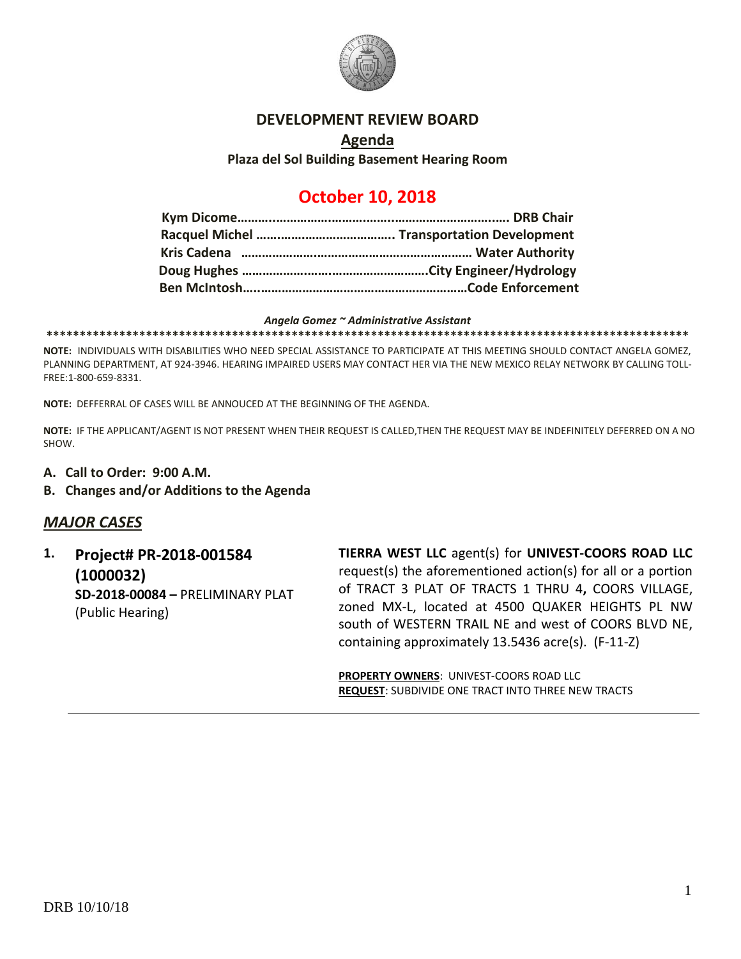

#### **DEVELOPMENT REVIEW BOARD**

# **Agenda Plaza del Sol Building Basement Hearing Room**

# **October 10, 2018**

#### *Angela Gomez ~ Administrative Assistant*

**\*\*\*\*\*\*\*\*\*\*\*\*\*\*\*\*\*\*\*\*\*\*\*\*\*\*\*\*\*\*\*\*\*\*\*\*\*\*\*\*\*\*\*\*\*\*\*\*\*\*\*\*\*\*\*\*\*\*\*\*\*\*\*\*\*\*\*\*\*\*\*\*\*\*\*\*\*\*\*\*\*\*\*\*\*\*\*\*\*\*\*\*\*\*\*\*\***

**NOTE:** INDIVIDUALS WITH DISABILITIES WHO NEED SPECIAL ASSISTANCE TO PARTICIPATE AT THIS MEETING SHOULD CONTACT ANGELA GOMEZ, PLANNING DEPARTMENT, AT 924-3946. HEARING IMPAIRED USERS MAY CONTACT HER VIA THE NEW MEXICO RELAY NETWORK BY CALLING TOLL-FREE:1-800-659-8331.

**NOTE:** DEFFERRAL OF CASES WILL BE ANNOUCED AT THE BEGINNING OF THE AGENDA.

**NOTE:** IF THE APPLICANT/AGENT IS NOT PRESENT WHEN THEIR REQUEST IS CALLED,THEN THE REQUEST MAY BE INDEFINITELY DEFERRED ON A NO SHOW.

- **A. Call to Order: 9:00 A.M.**
- **B. Changes and/or Additions to the Agenda**

## *MAJOR CASES*

**1. Project# PR-2018-001584 (1000032) SD-2018-00084 –** PRELIMINARY PLAT (Public Hearing)

**TIERRA WEST LLC** agent(s) for **UNIVEST-COORS ROAD LLC** request(s) the aforementioned action(s) for all or a portion of TRACT 3 PLAT OF TRACTS 1 THRU 4**,** COORS VILLAGE, zoned MX-L, located at 4500 QUAKER HEIGHTS PL NW south of WESTERN TRAIL NE and west of COORS BLVD NE, containing approximately 13.5436 acre(s). (F-11-Z)

**PROPERTY OWNERS**: UNIVEST-COORS ROAD LLC **REQUEST**: SUBDIVIDE ONE TRACT INTO THREE NEW TRACTS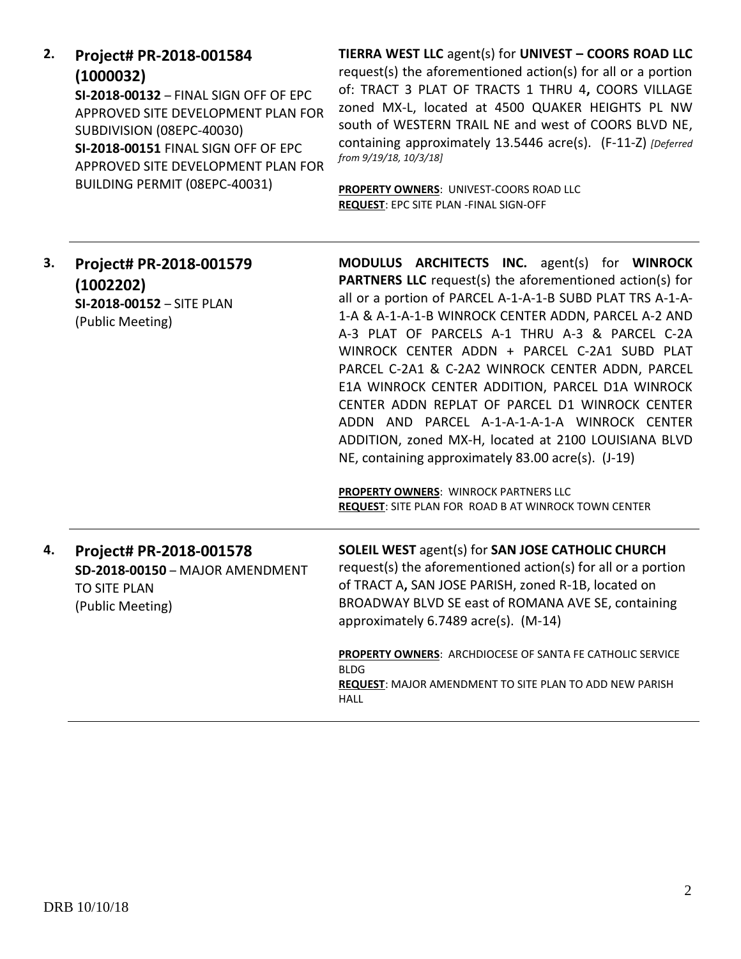| 2. | Project# PR-2018-001584 |
|----|-------------------------|
|    | (1000032)               |

**SI-2018-00132** – FINAL SIGN OFF OF EPC APPROVED SITE DEVELOPMENT PLAN FOR SUBDIVISION (08EPC-40030) **SI-2018-00151** FINAL SIGN OFF OF EPC APPROVED SITE DEVELOPMENT PLAN FOR BUILDING PERMIT (08EPC-40031)

**TIERRA WEST LLC** agent(s) for **UNIVEST – COORS ROAD LLC** request(s) the aforementioned action(s) for all or a portion of: TRACT 3 PLAT OF TRACTS 1 THRU 4**,** COORS VILLAGE zoned MX-L, located at 4500 QUAKER HEIGHTS PL NW south of WESTERN TRAIL NE and west of COORS BLVD NE, containing approximately 13.5446 acre(s). (F-11-Z) *[Deferred from 9/19/18, 10/3/18]*

**PROPERTY OWNERS**: UNIVEST-COORS ROAD LLC **REQUEST**: EPC SITE PLAN -FINAL SIGN-OFF

| 3. | Project# PR-2018-001579<br>(1002202)<br>SI-2018-00152 - SITE PLAN<br>(Public Meeting)                 | MODULUS ARCHITECTS INC. agent(s) for WINROCK<br><b>PARTNERS LLC</b> request(s) the aforementioned action(s) for<br>all or a portion of PARCEL A-1-A-1-B SUBD PLAT TRS A-1-A-<br>1-A & A-1-A-1-B WINROCK CENTER ADDN, PARCEL A-2 AND<br>A-3 PLAT OF PARCELS A-1 THRU A-3 & PARCEL C-2A<br>WINROCK CENTER ADDN + PARCEL C-2A1 SUBD PLAT<br>PARCEL C-2A1 & C-2A2 WINROCK CENTER ADDN, PARCEL<br>E1A WINROCK CENTER ADDITION, PARCEL D1A WINROCK<br>CENTER ADDN REPLAT OF PARCEL D1 WINROCK CENTER<br>ADDN AND PARCEL A-1-A-1-A-1-A WINROCK CENTER<br>ADDITION, zoned MX-H, located at 2100 LOUISIANA BLVD<br>NE, containing approximately 83.00 acre(s). (J-19)<br><b>PROPERTY OWNERS: WINROCK PARTNERS LLC</b><br>REQUEST: SITE PLAN FOR ROAD B AT WINROCK TOWN CENTER |
|----|-------------------------------------------------------------------------------------------------------|----------------------------------------------------------------------------------------------------------------------------------------------------------------------------------------------------------------------------------------------------------------------------------------------------------------------------------------------------------------------------------------------------------------------------------------------------------------------------------------------------------------------------------------------------------------------------------------------------------------------------------------------------------------------------------------------------------------------------------------------------------------------|
| 4. | Project# PR-2018-001578<br>SD-2018-00150 - MAJOR AMENDMENT<br><b>TO SITE PLAN</b><br>(Public Meeting) | <b>SOLEIL WEST agent(s) for SAN JOSE CATHOLIC CHURCH</b><br>request(s) the aforementioned action(s) for all or a portion<br>of TRACT A, SAN JOSE PARISH, zoned R-1B, located on<br>BROADWAY BLVD SE east of ROMANA AVE SE, containing<br>approximately 6.7489 acre(s). (M-14)                                                                                                                                                                                                                                                                                                                                                                                                                                                                                        |
|    |                                                                                                       | PROPERTY OWNERS: ARCHDIOCESE OF SANTA FE CATHOLIC SERVICE<br><b>BLDG</b><br><b>REQUEST: MAJOR AMENDMENT TO SITE PLAN TO ADD NEW PARISH</b><br><b>HALL</b>                                                                                                                                                                                                                                                                                                                                                                                                                                                                                                                                                                                                            |